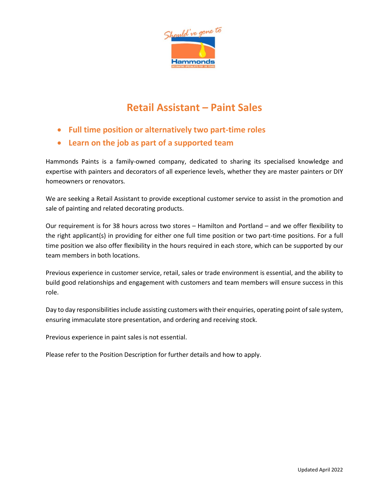

# **Retail Assistant – Paint Sales**

- **Full time position or alternatively two part-time roles**
- **Learn on the job as part of a supported team**

Hammonds Paints is a family-owned company, dedicated to sharing its specialised knowledge and expertise with painters and decorators of all experience levels, whether they are master painters or DIY homeowners or renovators.

We are seeking a Retail Assistant to provide exceptional customer service to assist in the promotion and sale of painting and related decorating products.

Our requirement is for 38 hours across two stores – Hamilton and Portland – and we offer flexibility to the right applicant(s) in providing for either one full time position or two part-time positions. For a full time position we also offer flexibility in the hours required in each store, which can be supported by our team members in both locations.

Previous experience in customer service, retail, sales or trade environment is essential, and the ability to build good relationships and engagement with customers and team members will ensure success in this role.

Day to day responsibilities include assisting customers with their enquiries, operating point of sale system, ensuring immaculate store presentation, and ordering and receiving stock.

Previous experience in paint sales is not essential.

Please refer to the Position Description for further details and how to apply.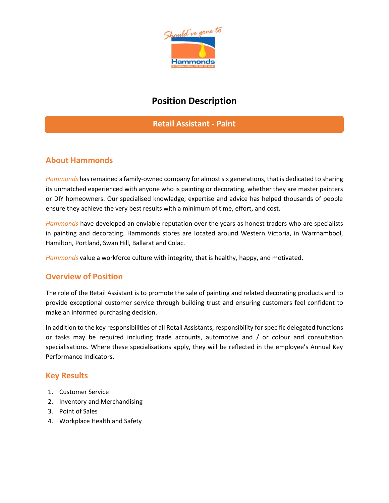

# **Position Description**

## **Retail Assistant - Paint**

# **About Hammonds**

*Hammonds* has remained a family-owned company for almost six generations, that is dedicated to sharing its unmatched experienced with anyone who is painting or decorating, whether they are master painters or DIY homeowners. Our specialised knowledge, expertise and advice has helped thousands of people ensure they achieve the very best results with a minimum of time, effort, and cost.

*Hammonds* have developed an enviable reputation over the years as honest traders who are specialists in painting and decorating. Hammonds stores are located around Western Victoria, in Warrnambool, Hamilton, Portland, Swan Hill, Ballarat and Colac.

*Hammonds* value a workforce culture with integrity, that is healthy, happy, and motivated.

#### **Overview of Position**

The role of the Retail Assistant is to promote the sale of painting and related decorating products and to provide exceptional customer service through building trust and ensuring customers feel confident to make an informed purchasing decision.

In addition to the key responsibilities of all Retail Assistants, responsibility for specific delegated functions or tasks may be required including trade accounts, automotive and / or colour and consultation specialisations. Where these specialisations apply, they will be reflected in the employee's Annual Key Performance Indicators.

#### **Key Results**

- 1. Customer Service
- 2. Inventory and Merchandising
- 3. Point of Sales
- 4. Workplace Health and Safety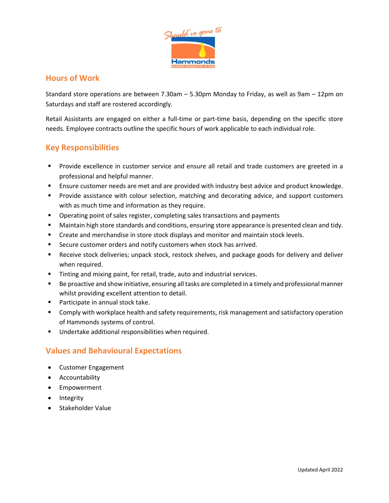

#### **Hours of Work**

Standard store operations are between 7.30am – 5.30pm Monday to Friday, as well as 9am – 12pm on Saturdays and staff are rostered accordingly.

Retail Assistants are engaged on either a full-time or part-time basis, depending on the specific store needs. Employee contracts outline the specific hours of work applicable to each individual role.

#### **Key Responsibilities**

- **•** Provide excellence in customer service and ensure all retail and trade customers are greeted in a professional and helpful manner.
- Ensure customer needs are met and are provided with industry best advice and product knowledge.
- **•** Provide assistance with colour selection, matching and decorating advice, and support customers with as much time and information as they require.
- Operating point of sales register, completing sales transactions and payments
- Maintain high store standards and conditions, ensuring store appearance is presented clean and tidy.
- **•** Create and merchandise in store stock displays and monitor and maintain stock levels.
- Secure customer orders and notify customers when stock has arrived.
- **EXEC** Receive stock deliveries; unpack stock, restock shelves, and package goods for delivery and deliver when required.
- Tinting and mixing paint, for retail, trade, auto and industrial services.
- Be proactive and show initiative, ensuring all tasks are completed in a timely and professional manner whilst providing excellent attention to detail.
- Participate in annual stock take.
- Comply with workplace health and safety requirements, risk management and satisfactory operation of Hammonds systems of control.
- Undertake additional responsibilities when required.

# **Values and Behavioural Expectations**

- Customer Engagement
- Accountability
- Empowerment
- Integrity
- Stakeholder Value